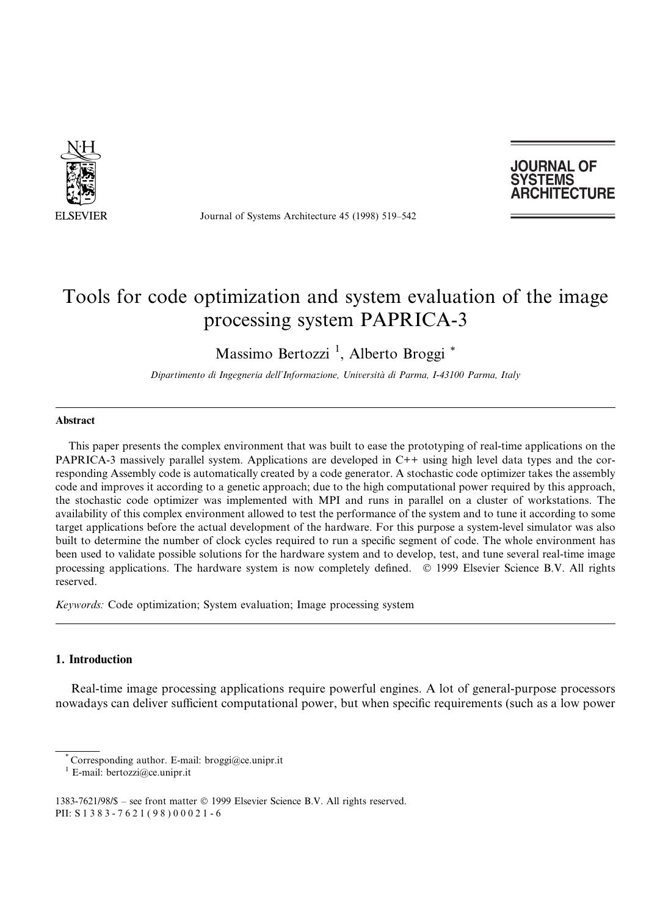

Journal of Systems Architecture 45 (1998) 519-542



# Tools for code optimization and system evaluation of the image processing system PAPRICA-3

Massimo Bertozzi<sup>1</sup>, Alberto Broggi<sup>\*</sup>

Dipartimento di Ingegneria dell'Informazione, Universita di Parma, I-43100 Parma, Italy

#### Abstract

This paper presents the complex environment that was built to ease the prototyping of real-time applications on the PAPRICA-3 massively parallel system. Applications are developed in C++ using high level data types and the corresponding Assembly code is automatically created by a code generator. A stochastic code optimizer takes the assembly code and improves it according to a genetic approach; due to the high computational power required by this approach, the stochastic code optimizer was implemented with MPI and runs in parallel on a cluster of workstations. The availability of this complex environment allowed to test the performance of the system and to tune it according to some target applications before the actual development of the hardware. For this purpose a system-level simulator was also built to determine the number of clock cycles required to run a specific segment of code. The whole environment has been used to validate possible solutions for the hardware system and to develop, test, and tune several real-time image processing applications. The hardware system is now completely defined. © 1999 Elsevier Science B.V. All rights reserved.

Keywords: Code optimization; System evaluation; Image processing system

# 1. Introduction

Real-time image processing applications require powerful engines. A lot of general-purpose processors nowadays can deliver sufficient computational power, but when specific requirements (such as a low power

<sup>\*</sup> Corresponding author. E-mail: broggi@ce.unipr.it  $1 \text{ E-mail:}$  bertozzi@ce.unipr.it

<sup>1383-7621/98/\$ –</sup> see front matter © 1999 Elsevier Science B.V. All rights reserved. PII: S 1 3 8 3 - 7 6 2 1 ( 9 8 ) 0 0 0 2 1 - 6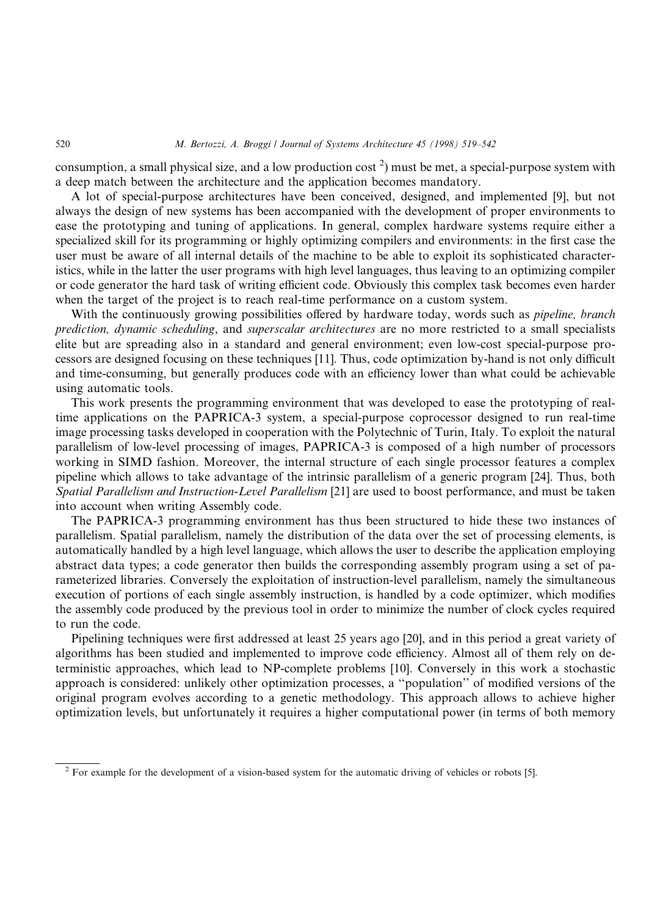consumption, a small physical size, and a low production cost  $2$ ) must be met, a special-purpose system with a deep match between the architecture and the application becomes mandatory.

A lot of special-purpose architectures have been conceived, designed, and implemented [9], but not always the design of new systems has been accompanied with the development of proper environments to ease the prototyping and tuning of applications. In general, complex hardware systems require either a specialized skill for its programming or highly optimizing compilers and environments: in the first case the user must be aware of all internal details of the machine to be able to exploit its sophisticated characteristics, while in the latter the user programs with high level languages, thus leaving to an optimizing compiler or code generator the hard task of writing efficient code. Obviously this complex task becomes even harder when the target of the project is to reach real-time performance on a custom system.

With the continuously growing possibilities offered by hardware today, words such as *pipeline*, *branch* prediction, dynamic scheduling, and superscalar architectures are no more restricted to a small specialists elite but are spreading also in a standard and general environment; even low-cost special-purpose processors are designed focusing on these techniques [11]. Thus, code optimization by-hand is not only difficult and time-consuming, but generally produces code with an efficiency lower than what could be achievable using automatic tools.

This work presents the programming environment that was developed to ease the prototyping of realtime applications on the PAPRICA-3 system, a special-purpose coprocessor designed to run real-time image processing tasks developed in cooperation with the Polytechnic of Turin, Italy. To exploit the natural parallelism of low-level processing of images, PAPRICA-3 is composed of a high number of processors working in SIMD fashion. Moreover, the internal structure of each single processor features a complex pipeline which allows to take advantage of the intrinsic parallelism of a generic program [24]. Thus, both Spatial Parallelism and Instruction-Level Parallelism [21] are used to boost performance, and must be taken into account when writing Assembly code.

The PAPRICA-3 programming environment has thus been structured to hide these two instances of parallelism. Spatial parallelism, namely the distribution of the data over the set of processing elements, is automatically handled by a high level language, which allows the user to describe the application employing abstract data types; a code generator then builds the corresponding assembly program using a set of parameterized libraries. Conversely the exploitation of instruction-level parallelism, namely the simultaneous execution of portions of each single assembly instruction, is handled by a code optimizer, which modifies the assembly code produced by the previous tool in order to minimize the number of clock cycles required to run the code.

Pipelining techniques were first addressed at least 25 years ago [20], and in this period a great variety of algorithms has been studied and implemented to improve code efficiency. Almost all of them rely on deterministic approaches, which lead to NP-complete problems [10]. Conversely in this work a stochastic approach is considered: unlikely other optimization processes, a "population" of modified versions of the original program evolves according to a genetic methodology. This approach allows to achieve higher optimization levels, but unfortunately it requires a higher computational power (in terms of both memory

<sup>&</sup>lt;sup>2</sup> For example for the development of a vision-based system for the automatic driving of vehicles or robots [5].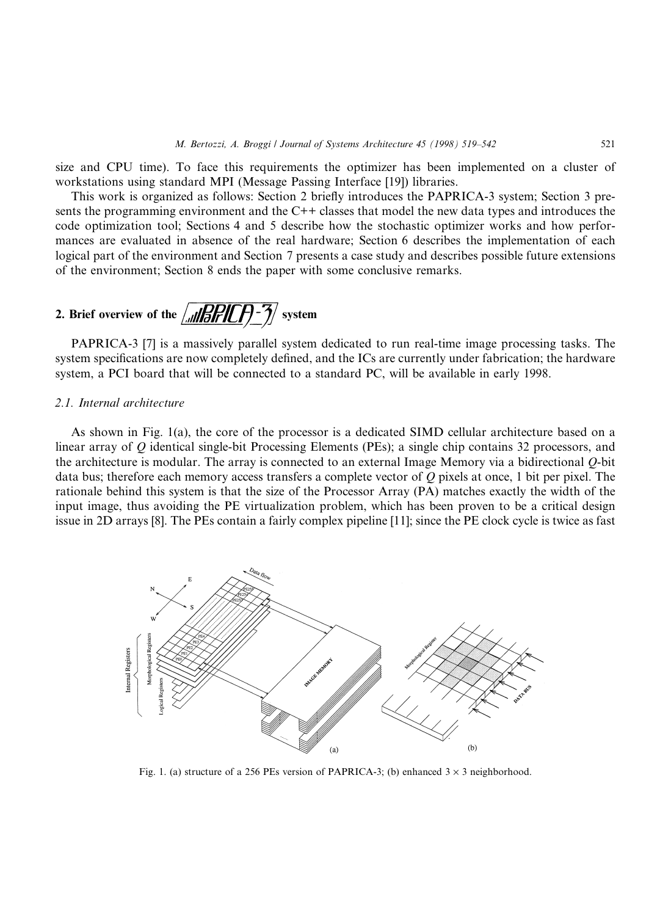size and CPU time). To face this requirements the optimizer has been implemented on a cluster of workstations using standard MPI (Message Passing Interface [19]) libraries.

This work is organized as follows: Section 2 briefly introduces the PAPRICA-3 system; Section 3 presents the programming environment and the C++ classes that model the new data types and introduces the code optimization tool; Sections 4 and 5 describe how the stochastic optimizer works and how performances are evaluated in absence of the real hardware; Section 6 describes the implementation of each logical part of the environment and Section 7 presents a case study and describes possible future extensions of the environment; Section 8 ends the paper with some conclusive remarks.

# 2. Brief overview of the  $\sqrt{d\theta P L P}$  system

PAPRICA-3 [7] is a massively parallel system dedicated to run real-time image processing tasks. The system specifications are now completely defined, and the ICs are currently under fabrication; the hardware system, a PCI board that will be connected to a standard PC, will be available in early 1998.

# 2.1. Internal architecture

As shown in Fig. 1(a), the core of the processor is a dedicated SIMD cellular architecture based on a linear array of Q identical single-bit Processing Elements (PEs); a single chip contains 32 processors, and the architecture is modular. The array is connected to an external Image Memory via a bidirectional Q-bit data bus; therefore each memory access transfers a complete vector of Q pixels at once, 1 bit per pixel. The rationale behind this system is that the size of the Processor Array (PA) matches exactly the width of the input image, thus avoiding the PE virtualization problem, which has been proven to be a critical design issue in 2D arrays [8]. The PEs contain a fairly complex pipeline [11]; since the PE clock cycle is twice as fast



Fig. 1. (a) structure of a 256 PEs version of PAPRICA-3; (b) enhanced  $3 \times 3$  neighborhood.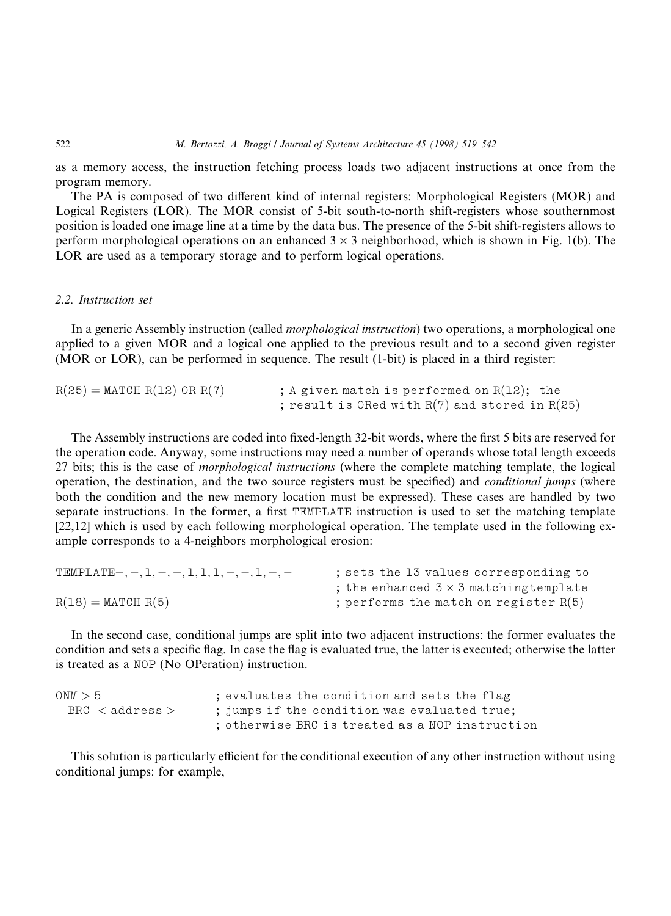#### 522 M. Bertozzi, A. Broggi / Journal of Systems Architecture 45 (1998) 519–542

as a memory access, the instruction fetching process loads two adjacent instructions at once from the program memory.

The PA is composed of two different kind of internal registers: Morphological Registers (MOR) and Logical Registers (LOR). The MOR consist of 5-bit south-to-north shift-registers whose southernmost position is loaded one image line at a time by the data bus. The presence of the 5-bit shift-registers allows to perform morphological operations on an enhanced  $3 \times 3$  neighborhood, which is shown in Fig. 1(b). The LOR are used as a temporary storage and to perform logical operations.

# 2.2. Instruction set

In a generic Assembly instruction (called *morphological instruction*) two operations, a morphological one applied to a given MOR and a logical one applied to the previous result and to a second given register (MOR or LOR), can be performed in sequence. The result (1-bit) is placed in a third register:

| $R(25) = MATCH R(12) OR R(7)$ | ; A given match is performed on $R(12)$ ; the      |
|-------------------------------|----------------------------------------------------|
|                               | ; result is ORed with $R(7)$ and stored in $R(25)$ |

The Assembly instructions are coded into fixed-length 32-bit words, where the first 5 bits are reserved for the operation code. Anyway, some instructions may need a number of operands whose total length exceeds 27 bits; this is the case of *morphological instructions* (where the complete matching template, the logical operation, the destination, and the two source registers must be specified) and *conditional jumps* (where both the condition and the new memory location must be expressed). These cases are handled by two separate instructions. In the former, a first TEMPLATE instruction is used to set the matching template [22,12] which is used by each following morphological operation. The template used in the following example corresponds to a 4-neighbors morphological erosion:

| $\texttt{TEMPLATE}-,-,1,-,-,1,1,1,-,-,1,-,-$ | ; sets the 13 values corresponding to         |
|----------------------------------------------|-----------------------------------------------|
|                                              | ; the enhanced $3 \times 3$ matching template |
| $R(18) = MATCH R(5)$                         | ; performs the match on register $R(5)$       |

In the second case, conditional jumps are split into two adjacent instructions: the former evaluates the condition and sets a specific flag. In case the flag is evaluated true, the latter is executed; otherwise the latter is treated as a NOP (No OPeration) instruction.

| ONM > 5                        | ; evaluates the condition and sets the flag     |
|--------------------------------|-------------------------------------------------|
| $\text{BRC}$ $\lt$ address $>$ | ; jumps if the condition was evaluated true;    |
|                                | ; otherwise BRC is treated as a NOP instruction |

This solution is particularly efficient for the conditional execution of any other instruction without using conditional jumps: for example,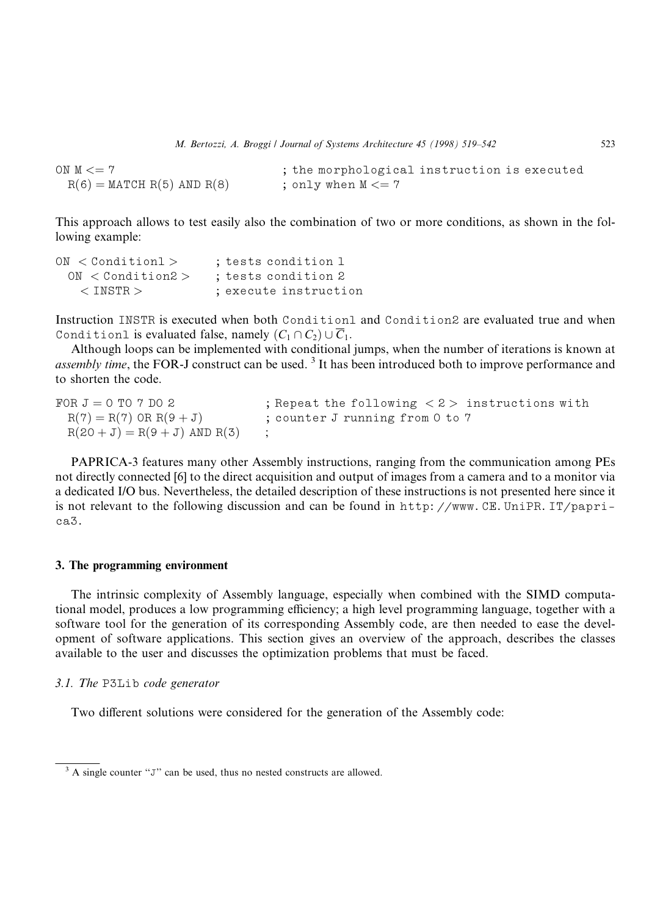```
ON M \leq 7 ; the morphological instruction is executed
 R(6) = MATCH R(5) AND R(8) ; only when M \le 7
```
This approach allows to test easily also the combination of two or more conditions, as shown in the following example:

```
ON < Condition1 > ; tests condition 1
 ON < Condition2 > ; tests condition 2
   < INSTR > ; execute instruction
```
Instruction INSTR is executed when both Condition1 and Condition2 are evaluated true and when Condition1 is evaluated false, namely  $(C_1 \cap C_2) \cup \overline{C}_1$ .

Although loops can be implemented with conditional jumps, when the number of iterations is known at *assembly time*, the FOR-J construct can be used.<sup>3</sup> It has been introduced both to improve performance and to shorten the code.

```
FOR J = 0 TO 7 DO 2 ; Repeat the following \langle 2 \rangle instructions with
 R(7) = R(7) OR R(9 + J) ; counter J running from 0 to 7
 R(20 + J) = R(9 + J) AND R(3)
```
PAPRICA-3 features many other Assembly instructions, ranging from the communication among PEs not directly connected [6] to the direct acquisition and output of images from a camera and to a monitor via a dedicated I/O bus. Nevertheless, the detailed description of these instructions is not presented here since it is not relevant to the following discussion and can be found in http://www.CE.UniPR.IT/paprica3.

# 3. The programming environment

The intrinsic complexity of Assembly language, especially when combined with the SIMD computational model, produces a low programming eciency; a high level programming language, together with a software tool for the generation of its corresponding Assembly code, are then needed to ease the development of software applications. This section gives an overview of the approach, describes the classes available to the user and discusses the optimization problems that must be faced.

#### 3.1. The P3Lib code generator

Two different solutions were considered for the generation of the Assembly code:

 $3 \text{ A}\$  single counter "J" can be used, thus no nested constructs are allowed.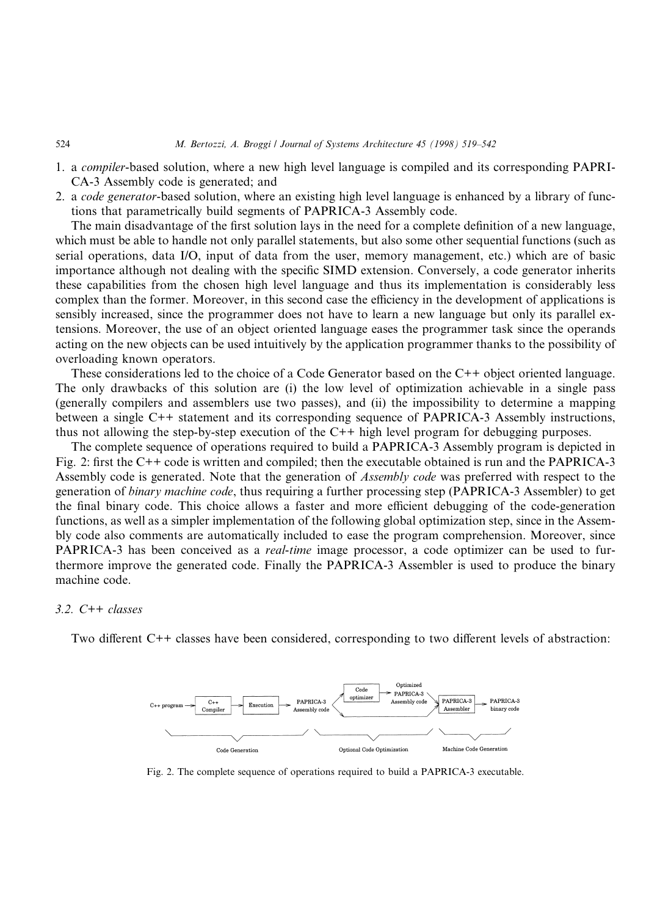#### 524 M. Bertozzi, A. Broggi / Journal of Systems Architecture 45 (1998) 519–542

- 1. a compiler-based solution, where a new high level language is compiled and its corresponding PAPRI-CA-3 Assembly code is generated; and
- 2. a *code generator*-based solution, where an existing high level language is enhanced by a library of functions that parametrically build segments of PAPRICA-3 Assembly code.

The main disadvantage of the first solution lays in the need for a complete definition of a new language, which must be able to handle not only parallel statements, but also some other sequential functions (such as serial operations, data I/O, input of data from the user, memory management, etc.) which are of basic importance although not dealing with the specific SIMD extension. Conversely, a code generator inherits these capabilities from the chosen high level language and thus its implementation is considerably less complex than the former. Moreover, in this second case the efficiency in the development of applications is sensibly increased, since the programmer does not have to learn a new language but only its parallel extensions. Moreover, the use of an object oriented language eases the programmer task since the operands acting on the new objects can be used intuitively by the application programmer thanks to the possibility of overloading known operators.

These considerations led to the choice of a Code Generator based on the C++ object oriented language. The only drawbacks of this solution are (i) the low level of optimization achievable in a single pass (generally compilers and assemblers use two passes), and (ii) the impossibility to determine a mapping between a single C++ statement and its corresponding sequence of PAPRICA-3 Assembly instructions, thus not allowing the step-by-step execution of the C++ high level program for debugging purposes.

The complete sequence of operations required to build a PAPRICA-3 Assembly program is depicted in Fig. 2: first the C++ code is written and compiled; then the executable obtained is run and the PAPRICA-3 Assembly code is generated. Note that the generation of Assembly code was preferred with respect to the generation of binary machine code, thus requiring a further processing step (PAPRICA-3 Assembler) to get the final binary code. This choice allows a faster and more efficient debugging of the code-generation functions, as well as a simpler implementation of the following global optimization step, since in the Assembly code also comments are automatically included to ease the program comprehension. Moreover, since PAPRICA-3 has been conceived as a *real-time* image processor, a code optimizer can be used to furthermore improve the generated code. Finally the PAPRICA-3 Assembler is used to produce the binary machine code.

#### 3.2. C++ classes

Two different C++ classes have been considered, corresponding to two different levels of abstraction:



Fig. 2. The complete sequence of operations required to build a PAPRICA-3 executable.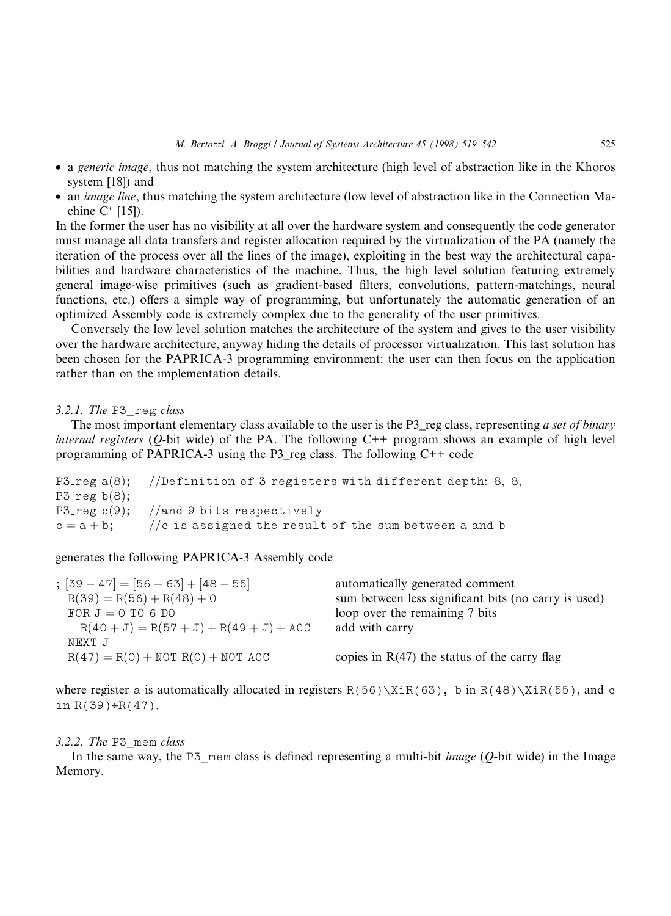- · a generic image, thus not matching the system architecture (high level of abstraction like in the Khoros system [18]) and
- an *image line*, thus matching the system architecture (low level of abstraction like in the Connection Machine  $C^*$  [15]).

In the former the user has no visibility at all over the hardware system and consequently the code generator must manage all data transfers and register allocation required by the virtualization of the PA (namely the iteration of the process over all the lines of the image), exploiting in the best way the architectural capabilities and hardware characteristics of the machine. Thus, the high level solution featuring extremely general image-wise primitives (such as gradient-based filters, convolutions, pattern-matchings, neural functions, etc.) offers a simple way of programming, but unfortunately the automatic generation of an optimized Assembly code is extremely complex due to the generality of the user primitives.

Conversely the low level solution matches the architecture of the system and gives to the user visibility over the hardware architecture, anyway hiding the details of processor virtualization. This last solution has been chosen for the PAPRICA-3 programming environment: the user can then focus on the application rather than on the implementation details.

#### 3.2.1. The P3 reg class

The most important elementary class available to the user is the P3 reg class, representing a set of binary *internal registers* ( $Q$ -bit wide) of the PA. The following  $C++$  program shows an example of high level programming of PAPRICA-3 using the P3 reg class. The following  $C++$  code

|                   | P3_reg a(8); //Definition of 3 registers with different depth: 8, 8, |
|-------------------|----------------------------------------------------------------------|
| $P3$ reg $b(8)$ ; |                                                                      |
|                   | P3 reg $c(9)$ ; //and 9 bits respectively                            |
| $c = a + b$ ;     | //c is assigned the result of the sum between a and $b$              |

generates the following PAPRICA-3 Assembly code

| $\frac{1}{2}$ [39 - 47] = [56 - 63] + [48 - 55] | automatically generated comment                      |
|-------------------------------------------------|------------------------------------------------------|
| $R(39) = R(56) + R(48) + 0$                     | sum between less significant bits (no carry is used) |
| FOR $J = 0$ TO 6 DO                             | loop over the remaining 7 bits                       |
| $R(40+J) = R(57+J) + R(49+J) + ACC$             | add with carry                                       |
| NEXT J                                          |                                                      |
| $R(47) = R(0) + NOT R(0) + NOT ACC$             | copies in $R(47)$ the status of the carry flag       |

where register a is automatically allocated in registers  $R(56)\XiR(63)$ , b in  $R(48)\XiR(55)$ , and c in  $R(39) \div R(47)$ .

# 3.2.2. The P3\_mem class

In the same way, the P3\_mem class is defined representing a multi-bit *image* ( $Q$ -bit wide) in the Image Memory.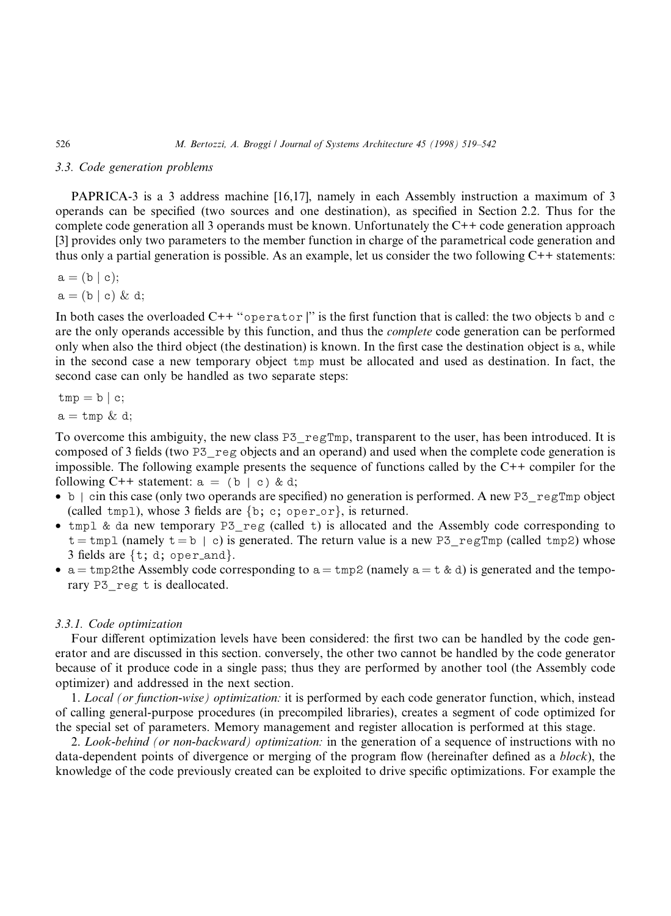#### 3.3. Code generation problems

PAPRICA-3 is a 3 address machine [16,17], namely in each Assembly instruction a maximum of 3 operands can be specified (two sources and one destination), as specified in Section 2.2. Thus for the complete code generation all 3 operands must be known. Unfortunately the C++ code generation approach [3] provides only two parameters to the member function in charge of the parametrical code generation and thus only a partial generation is possible. As an example, let us consider the two following C++ statements:

 $a = (b \mid c);$ 

 $a = (b \mid c) \& d;$ 

In both cases the overloaded  $C++$  "operator" is the first function that is called: the two objects b and c are the only operands accessible by this function, and thus the *complete* code generation can be performed only when also the third object (the destination) is known. In the first case the destination object is a, while in the second case a new temporary object tmp must be allocated and used as destination. In fact, the second case can only be handled as two separate steps:

 $tmp = b | c;$  $a = \text{tmp } \& d;$ 

To overcome this ambiguity, the new class P3\_regTmp, transparent to the user, has been introduced. It is composed of 3 fields (two P3 reg objects and an operand) and used when the complete code generation is impossible. The following example presents the sequence of functions called by the C++ compiler for the following C++ statement:  $a = (b \mid c) \& d$ ;

- b  $\mid$  cin this case (only two operands are specified) no generation is performed. A new P3 regTmp object (called tmp1), whose 3 fields are  $\{b; c; oper-or\}$ , is returned.
- · tmp1 & da new temporary P3\_reg (called t) is allocated and the Assembly code corresponding to  $t = \text{tmp1}$  (namely  $t = b \mid c$ ) is generated. The return value is a new P3\_regTmp (called tmp2) whose 3 fields are  $\{t; d; open_and\}.$
- a = tmp2the Assembly code corresponding to a = tmp2 (namely a = t & d) is generated and the temporary P3\_reg t is deallocated.

# 3.3.1. Code optimization

Four different optimization levels have been considered: the first two can be handled by the code generator and are discussed in this section. conversely, the other two cannot be handled by the code generator because of it produce code in a single pass; thus they are performed by another tool (the Assembly code optimizer) and addressed in the next section.

1. Local (or function-wise) optimization: it is performed by each code generator function, which, instead of calling general-purpose procedures (in precompiled libraries), creates a segment of code optimized for the special set of parameters. Memory management and register allocation is performed at this stage.

2. Look-behind (or non-backward) optimization: in the generation of a sequence of instructions with no data-dependent points of divergence or merging of the program flow (hereinafter defined as a  $block$ ), the knowledge of the code previously created can be exploited to drive specific optimizations. For example the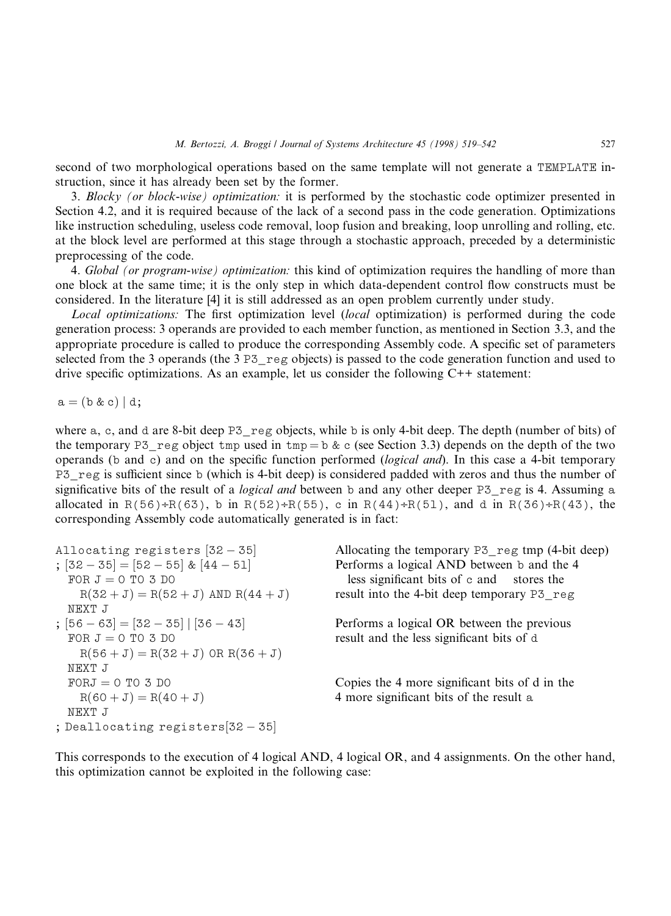second of two morphological operations based on the same template will not generate a TEMPLATE instruction, since it has already been set by the former.

3. Blocky (or block-wise) optimization: it is performed by the stochastic code optimizer presented in Section 4.2, and it is required because of the lack of a second pass in the code generation. Optimizations like instruction scheduling, useless code removal, loop fusion and breaking, loop unrolling and rolling, etc. at the block level are performed at this stage through a stochastic approach, preceded by a deterministic preprocessing of the code.

4. Global (or program-wise) optimization: this kind of optimization requires the handling of more than one block at the same time; it is the only step in which data-dependent control flow constructs must be considered. In the literature [4] it is still addressed as an open problem currently under study.

Local optimizations: The first optimization level (local optimization) is performed during the code generation process: 3 operands are provided to each member function, as mentioned in Section 3.3, and the appropriate procedure is called to produce the corresponding Assembly code. A specific set of parameters selected from the 3 operands (the 3 P3  $\text{reg}$  objects) is passed to the code generation function and used to drive specific optimizations. As an example, let us consider the following  $C^{++}$  statement:

 $a = (b & c) | d;$ 

where a, c, and d are 8-bit deep P3\_reg objects, while b is only 4-bit deep. The depth (number of bits) of the temporary P3\_reg object tmp used in tmp = b & c (see Section 3.3) depends on the depth of the two operands (b and c) and on the specific function performed *(logical and)*. In this case a 4-bit temporary P3\_reg is sufficient since b (which is 4-bit deep) is considered padded with zeros and thus the number of significative bits of the result of a *logical and* between b and any other deeper P3 reg is 4. Assuming a allocated in R(56) $\div R(63)$ , b in R(52) $\div R(55)$ , c in R(44) $\div R(51)$ , and d in R(36) $\div R(43)$ , the corresponding Assembly code automatically generated is in fact:

| Allocating registers [32 - 35]                                   | Allocating the temporary $P3$ reg tmp (4-bit deep) |
|------------------------------------------------------------------|----------------------------------------------------|
| $\left(52-35\right) = \left[52-55\right]$ & $\left[44-51\right]$ | Performs a logical AND between b and the 4         |
| FOR $J = 0$ TO 3 DO                                              | less significant bits of c and stores the          |
| $R(32+J) = R(52+J)$ AND $R(44+J)$                                | result into the 4-bit deep temporary P3 reg        |
| NEXT J                                                           |                                                    |
| $\frac{1}{2}$ [56 - 63] = [32 - 35]   [36 - 43]                  | Performs a logical OR between the previous         |
| FOR $J = 0$ TO 3 DO                                              | result and the less significant bits of d          |
| $R(56+J) = R(32+J)$ OR $R(36+J)$                                 |                                                    |
| NEXT J                                                           |                                                    |
| $FORI = 0$ TO 3 DO                                               | Copies the 4 more significant bits of d in the     |
| $R(60+J) = R(40+J)$                                              | 4 more significant bits of the result a            |
| NEXT J                                                           |                                                    |
| ; Deallocating registers[32-35]                                  |                                                    |
|                                                                  |                                                    |

This corresponds to the execution of 4 logical AND, 4 logical OR, and 4 assignments. On the other hand, this optimization cannot be exploited in the following case: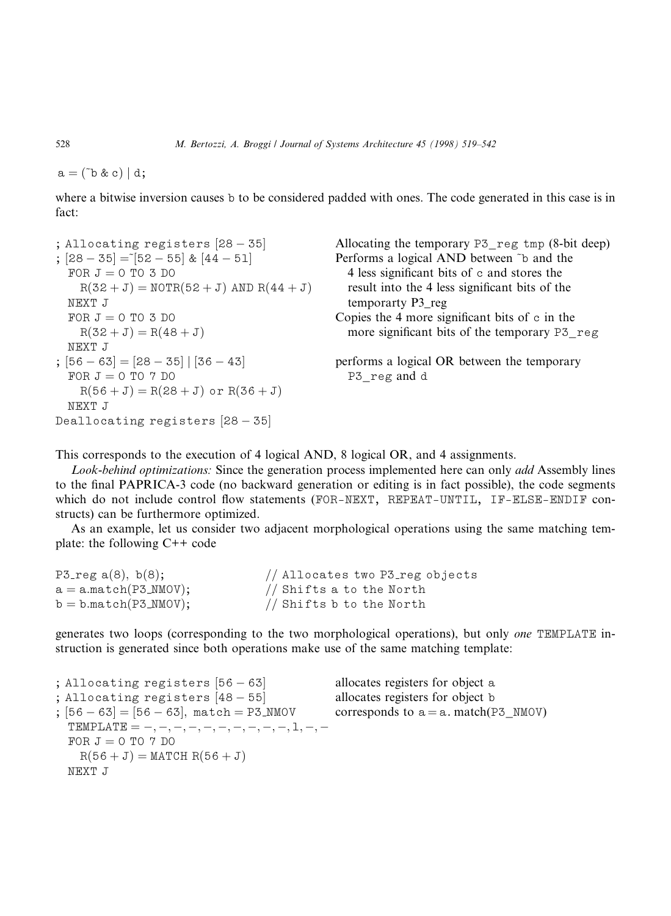$a = (b & c) | d;$ 

where a bitwise inversion causes b to be considered padded with ones. The code generated in this case is in fact:

| ; Allocating registers $[28-35]$                 | Allocating the temporary $P3_{\text{reg}}$ tmp (8-bit deep) |
|--------------------------------------------------|-------------------------------------------------------------|
| $\frac{1}{28}$ (28 - 35] = [52 - 55] & [44 - 51] | Performs a logical AND between "b and the                   |
| FOR $J = 0$ TO 3 DO                              | 4 less significant bits of c and stores the                 |
| $R(32+J) = NOTR(52+J)$ AND $R(44+J)$             | result into the 4 less significant bits of the              |
| NEXT J                                           | temporarty P3_reg                                           |
| FOR $J = 0$ TO 3 DO                              | Copies the 4 more significant bits of c in the              |
| $R(32+J) = R(48+J)$                              | more significant bits of the temporary P3 reg               |
| NEXT J                                           |                                                             |
| $\frac{1}{2}$ [56 - 63] = [28 - 35]   [36 - 43]  | performs a logical OR between the temporary                 |
| FOR $J = 0$ TO 7 DO                              | P3 reg and d                                                |
| $R(56+J) = R(28+J)$ or $R(36+J)$                 |                                                             |
| NEXT J                                           |                                                             |
| Deallocating registers $[28 - 35]$               |                                                             |

This corresponds to the execution of 4 logical AND, 8 logical OR, and 4 assignments.

Look-behind optimizations: Since the generation process implemented here can only add Assembly lines to the final PAPRICA-3 code (no backward generation or editing is in fact possible), the code segments which do not include control flow statements (FOR-NEXT, REPEAT-UNTIL, IF-ELSE-ENDIF constructs) can be furthermore optimized.

As an example, let us consider two adjacent morphological operations using the same matching template: the following C++ code

| P3_reg $a(8)$ , $b(8)$ ; | // Allocates two P3_reg objects |
|--------------------------|---------------------------------|
| $a = a.match(P3_NMOV);$  | // Shifts a to the North        |
| $b = b.match(P3_NMOV);$  | // Shifts b to the North        |

generates two loops (corresponding to the two morphological operations), but only one TEMPLATE instruction is generated since both operations make use of the same matching template:

| ; Allocating registers $[56 - 63]$        | allocates registers for object a        |
|-------------------------------------------|-----------------------------------------|
| ; Allocating registers $[48 - 55]$        | allocates registers for object b        |
| $[56 - 63] = [56 - 63]$ , match = P3_NMOV | corresponds to $a = a$ . match(P3 NMOV) |
| TEMPLATE = $-,-,-,-,-,-,-,-,-,-,-,1,-,-$  |                                         |
| FOR $J = 0$ TO 7 DO                       |                                         |
| $R(56+J) = MATCH R(56+J)$                 |                                         |
| NEXT J                                    |                                         |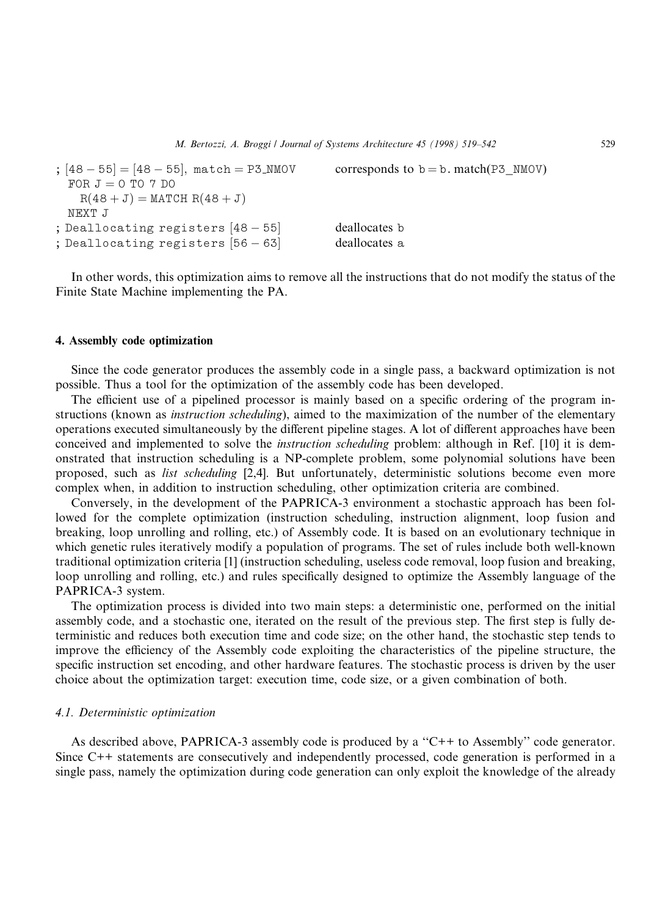| $;$ [48 - 55] = [48 - 55], match = P3_NMOV | corresponds to $b = b$ . match(P3 NMOV) |
|--------------------------------------------|-----------------------------------------|
| FOR $J = 0$ TO 7 DO                        |                                         |
| $R(48+J) = MATCH R(48+J)$                  |                                         |
| NEXT J                                     |                                         |
| ; Deallocating registers $[48-55]$         | deallocates b                           |
| ; Deallocating registers $[56 - 63]$       | deallocates a                           |

In other words, this optimization aims to remove all the instructions that do not modify the status of the Finite State Machine implementing the PA.

#### 4. Assembly code optimization

Since the code generator produces the assembly code in a single pass, a backward optimization is not possible. Thus a tool for the optimization of the assembly code has been developed.

The efficient use of a pipelined processor is mainly based on a specific ordering of the program instructions (known as *instruction scheduling*), aimed to the maximization of the number of the elementary operations executed simultaneously by the different pipeline stages. A lot of different approaches have been conceived and implemented to solve the *instruction scheduling* problem: although in Ref. [10] it is demonstrated that instruction scheduling is a NP-complete problem, some polynomial solutions have been proposed, such as list scheduling [2,4]. But unfortunately, deterministic solutions become even more complex when, in addition to instruction scheduling, other optimization criteria are combined.

Conversely, in the development of the PAPRICA-3 environment a stochastic approach has been followed for the complete optimization (instruction scheduling, instruction alignment, loop fusion and breaking, loop unrolling and rolling, etc.) of Assembly code. It is based on an evolutionary technique in which genetic rules iteratively modify a population of programs. The set of rules include both well-known traditional optimization criteria [1] (instruction scheduling, useless code removal, loop fusion and breaking, loop unrolling and rolling, etc.) and rules specifically designed to optimize the Assembly language of the PAPRICA-3 system.

The optimization process is divided into two main steps: a deterministic one, performed on the initial assembly code, and a stochastic one, iterated on the result of the previous step. The first step is fully deterministic and reduces both execution time and code size; on the other hand, the stochastic step tends to improve the efficiency of the Assembly code exploiting the characteristics of the pipeline structure, the specific instruction set encoding, and other hardware features. The stochastic process is driven by the user choice about the optimization target: execution time, code size, or a given combination of both.

#### 4.1. Deterministic optimization

As described above, PAPRICA-3 assembly code is produced by a  $C_{++}$  to Assembly" code generator. Since C++ statements are consecutively and independently processed, code generation is performed in a single pass, namely the optimization during code generation can only exploit the knowledge of the already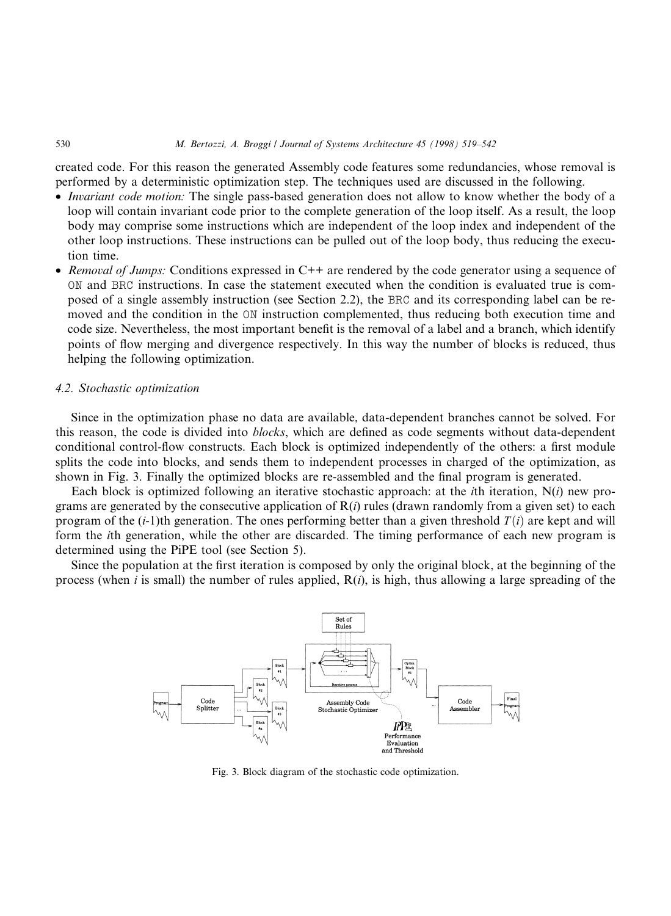created code. For this reason the generated Assembly code features some redundancies, whose removal is performed by a deterministic optimization step. The techniques used are discussed in the following.

- · Invariant code motion: The single pass-based generation does not allow to know whether the body of a loop will contain invariant code prior to the complete generation of the loop itself. As a result, the loop body may comprise some instructions which are independent of the loop index and independent of the other loop instructions. These instructions can be pulled out of the loop body, thus reducing the execution time.
- Removal of Jumps: Conditions expressed in C++ are rendered by the code generator using a sequence of ON and BRC instructions. In case the statement executed when the condition is evaluated true is composed of a single assembly instruction (see Section 2.2), the BRC and its corresponding label can be removed and the condition in the ON instruction complemented, thus reducing both execution time and code size. Nevertheless, the most important benefit is the removal of a label and a branch, which identify points of flow merging and divergence respectively. In this way the number of blocks is reduced, thus helping the following optimization.

## 4.2. Stochastic optimization

Since in the optimization phase no data are available, data-dependent branches cannot be solved. For this reason, the code is divided into *blocks*, which are defined as code segments without data-dependent conditional control-flow constructs. Each block is optimized independently of the others: a first module splits the code into blocks, and sends them to independent processes in charged of the optimization, as shown in Fig. 3. Finally the optimized blocks are re-assembled and the final program is generated.

Each block is optimized following an iterative stochastic approach: at the *i*th iteration,  $N(i)$  new programs are generated by the consecutive application of  $R(i)$  rules (drawn randomly from a given set) to each program of the  $(i-1)$ th generation. The ones performing better than a given threshold  $T(i)$  are kept and will form the ith generation, while the other are discarded. The timing performance of each new program is determined using the PiPE tool (see Section 5).

Since the population at the first iteration is composed by only the original block, at the beginning of the process (when i is small) the number of rules applied,  $R(i)$ , is high, thus allowing a large spreading of the



Fig. 3. Block diagram of the stochastic code optimization.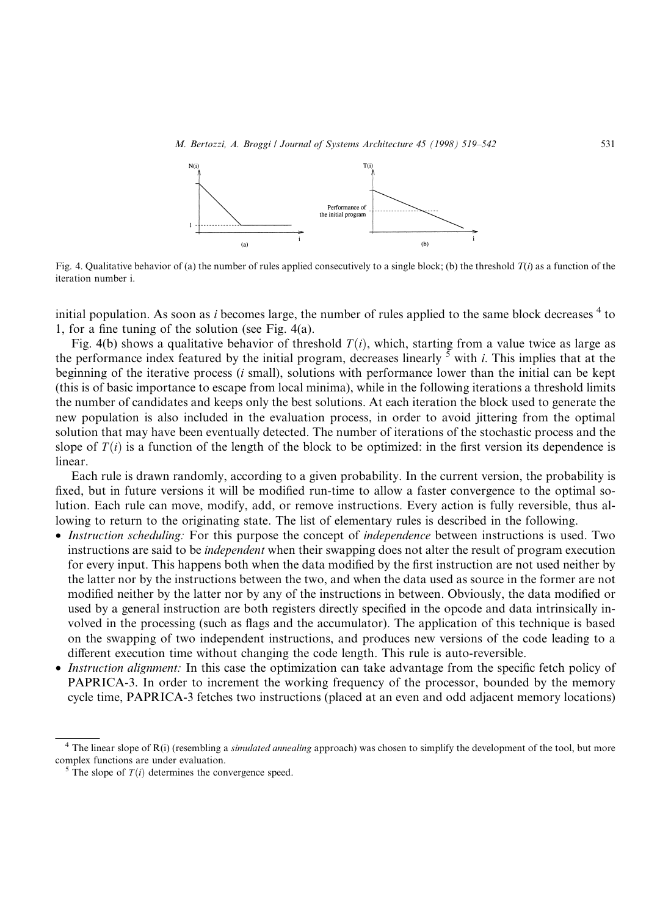

Fig. 4. Qualitative behavior of (a) the number of rules applied consecutively to a single block; (b) the threshold  $T(i)$  as a function of the iteration number i.

initial population. As soon as i becomes large, the number of rules applied to the same block decreases  $4$  to 1, for a fine tuning of the solution (see Fig.  $4(a)$ .

Fig. 4(b) shows a qualitative behavior of threshold  $T(i)$ , which, starting from a value twice as large as the performance index featured by the initial program, decreases linearly  $\frac{5}{5}$  with i. This implies that at the beginning of the iterative process (i small), solutions with performance lower than the initial can be kept (this is of basic importance to escape from local minima), while in the following iterations a threshold limits the number of candidates and keeps only the best solutions. At each iteration the block used to generate the new population is also included in the evaluation process, in order to avoid jittering from the optimal solution that may have been eventually detected. The number of iterations of the stochastic process and the slope of  $T(i)$  is a function of the length of the block to be optimized: in the first version its dependence is linear.

Each rule is drawn randomly, according to a given probability. In the current version, the probability is fixed, but in future versions it will be modified run-time to allow a faster convergence to the optimal solution. Each rule can move, modify, add, or remove instructions. Every action is fully reversible, thus allowing to return to the originating state. The list of elementary rules is described in the following.

- · Instruction scheduling: For this purpose the concept of independence between instructions is used. Two instructions are said to be *independent* when their swapping does not alter the result of program execution for every input. This happens both when the data modified by the first instruction are not used neither by the latter nor by the instructions between the two, and when the data used as source in the former are not modified neither by the latter nor by any of the instructions in between. Obviously, the data modified or used by a general instruction are both registers directly specified in the opcode and data intrinsically involved in the processing (such as flags and the accumulator). The application of this technique is based on the swapping of two independent instructions, and produces new versions of the code leading to a different execution time without changing the code length. This rule is auto-reversible.
- Instruction alignment: In this case the optimization can take advantage from the specific fetch policy of PAPRICA-3. In order to increment the working frequency of the processor, bounded by the memory cycle time, PAPRICA-3 fetches two instructions (placed at an even and odd adjacent memory locations)

 $4$  The linear slope of R(i) (resembling a simulated annealing approach) was chosen to simplify the development of the tool, but more complex functions are under evaluation.

 $<sup>5</sup>$  The slope of  $T(i)$  determines the convergence speed.</sup>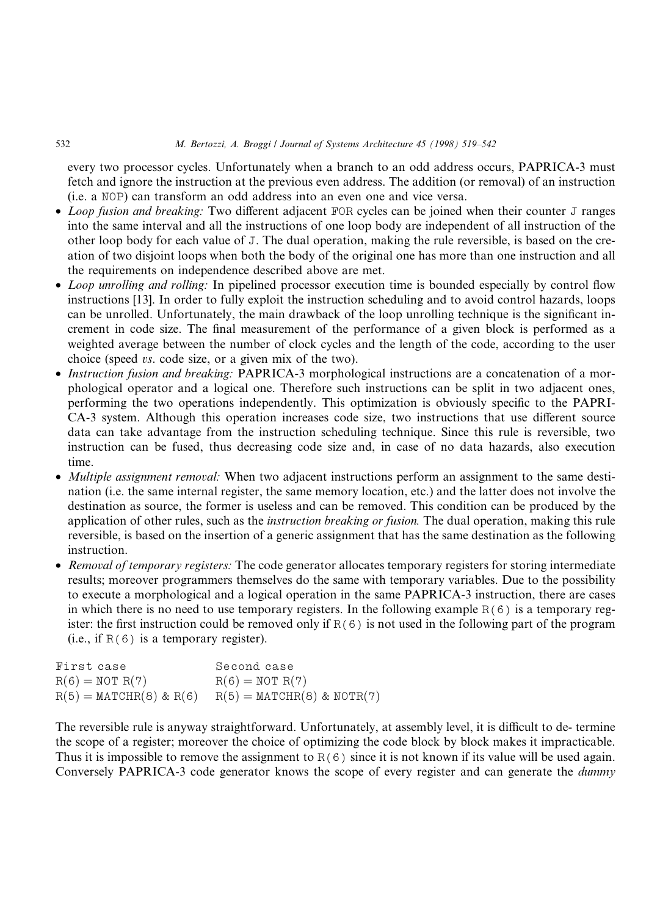#### 532 M. Bertozzi, A. Broggi / Journal of Systems Architecture 45 (1998) 519-542

every two processor cycles. Unfortunately when a branch to an odd address occurs, PAPRICA-3 must fetch and ignore the instruction at the previous even address. The addition (or removal) of an instruction (i.e. a NOP) can transform an odd address into an even one and vice versa.

- Loop fusion and breaking: Two different adjacent FOR cycles can be joined when their counter J ranges into the same interval and all the instructions of one loop body are independent of all instruction of the other loop body for each value of J. The dual operation, making the rule reversible, is based on the creation of two disjoint loops when both the body of the original one has more than one instruction and all the requirements on independence described above are met.
- Loop unrolling and rolling: In pipelined processor execution time is bounded especially by control flow instructions [13]. In order to fully exploit the instruction scheduling and to avoid control hazards, loops can be unrolled. Unfortunately, the main drawback of the loop unrolling technique is the significant increment in code size. The final measurement of the performance of a given block is performed as a weighted average between the number of clock cycles and the length of the code, according to the user choice (speed vs. code size, or a given mix of the two).
- · Instruction fusion and breaking: PAPRICA-3 morphological instructions are a concatenation of a morphological operator and a logical one. Therefore such instructions can be split in two adjacent ones, performing the two operations independently. This optimization is obviously specific to the PAPRI-CA-3 system. Although this operation increases code size, two instructions that use different source data can take advantage from the instruction scheduling technique. Since this rule is reversible, two instruction can be fused, thus decreasing code size and, in case of no data hazards, also execution time.
- *Multiple assignment removal:* When two adjacent instructions perform an assignment to the same destination (i.e. the same internal register, the same memory location, etc.) and the latter does not involve the destination as source, the former is useless and can be removed. This condition can be produced by the application of other rules, such as the instruction breaking or fusion. The dual operation, making this rule reversible, is based on the insertion of a generic assignment that has the same destination as the following instruction.
- Removal of temporary registers: The code generator allocates temporary registers for storing intermediate results; moreover programmers themselves do the same with temporary variables. Due to the possibility to execute a morphological and a logical operation in the same PAPRICA-3 instruction, there are cases in which there is no need to use temporary registers. In the following example  $R(6)$  is a temporary register: the first instruction could be removed only if  $R(6)$  is not used in the following part of the program (i.e., if  $R(6)$  is a temporary register).

| First case        | Second case                                                                   |
|-------------------|-------------------------------------------------------------------------------|
| $R(6) = NOT R(7)$ | $R(6) = NOT R(7)$                                                             |
|                   | $R(5) = \text{MATCHR}(8) \& R(6)$ $R(5) = \text{MATCHR}(8) \& \text{NOTR}(7)$ |

The reversible rule is anyway straightforward. Unfortunately, at assembly level, it is difficult to de- termine the scope of a register; moreover the choice of optimizing the code block by block makes it impracticable. Thus it is impossible to remove the assignment to  $R(6)$  since it is not known if its value will be used again. Conversely PAPRICA-3 code generator knows the scope of every register and can generate the dummy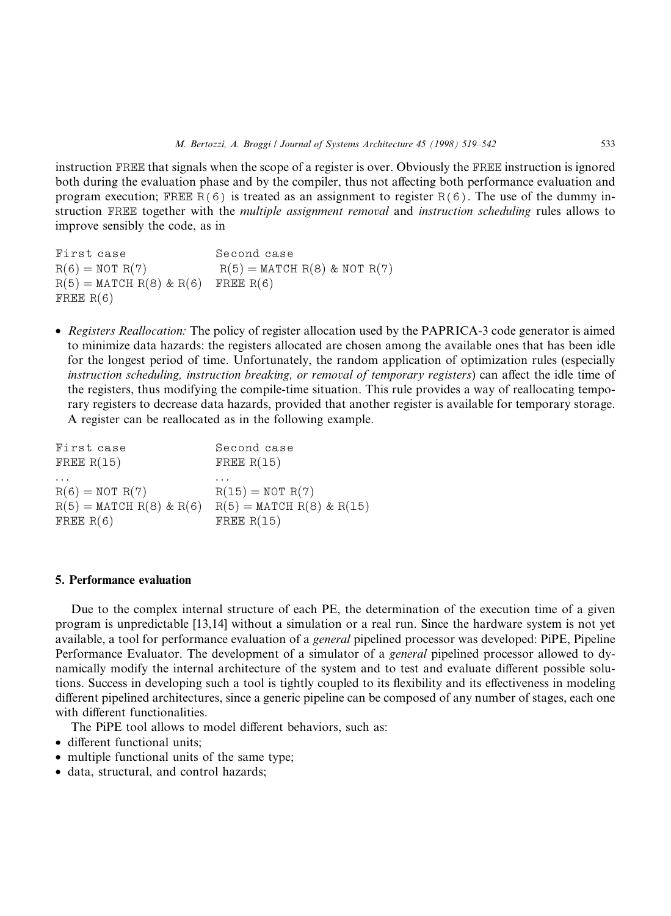instruction FREE that signals when the scope of a register is over. Obviously the FREE instruction is ignored both during the evaluation phase and by the compiler, thus not affecting both performance evaluation and program execution; FREE  $R(6)$  is treated as an assignment to register  $R(6)$ . The use of the dummy instruction FREE together with the multiple assignment removal and instruction scheduling rules allows to improve sensibly the code, as in

```
First case Second case
R(6) = NOT R(7) R(5) = MATCH R(8) & NOT R(7)R(5) = \text{MATCH } R(8) \& R(6) \quad \text{FREE } R(6)FREE R(6)
```
· Registers Reallocation: The policy of register allocation used by the PAPRICA-3 code generator is aimed to minimize data hazards: the registers allocated are chosen among the available ones that has been idle for the longest period of time. Unfortunately, the random application of optimization rules (especially instruction scheduling, instruction breaking, or removal of temporary registers) can affect the idle time of the registers, thus modifying the compile-time situation. This rule provides a way of reallocating temporary registers to decrease data hazards, provided that another register is available for temporary storage. A register can be reallocated as in the following example.

| First case                                                          | Second case                                                       |
|---------------------------------------------------------------------|-------------------------------------------------------------------|
| FREE $R(15)$                                                        | FREE $R(15)$                                                      |
| .<br>$R(6) = NOT R(7)$<br>$R(5) = MATCH R(8) & R(6)$<br>FREE $R(6)$ | $R(15) = NOT R(7)$<br>$R(5) = MATCH R(8) & R(15)$<br>FREE $R(15)$ |

# 5. Performance evaluation

Due to the complex internal structure of each PE, the determination of the execution time of a given program is unpredictable [13,14] without a simulation or a real run. Since the hardware system is not yet available, a tool for performance evaluation of a *general* pipelined processor was developed: PiPE, Pipeline Performance Evaluator. The development of a simulator of a general pipelined processor allowed to dynamically modify the internal architecture of the system and to test and evaluate different possible solutions. Success in developing such a tool is tightly coupled to its flexibility and its effectiveness in modeling different pipelined architectures, since a generic pipeline can be composed of any number of stages, each one with different functionalities.

The PiPE tool allows to model different behaviors, such as:

- different functional units:
- · multiple functional units of the same type;
- data, structural, and control hazards;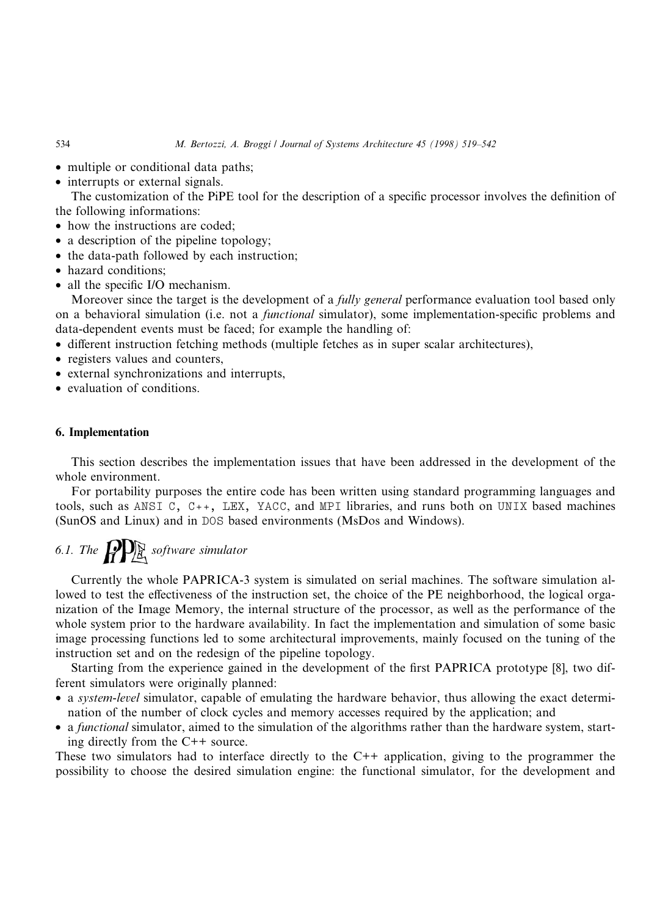- multiple or conditional data paths;
- interrupts or external signals.

The customization of the PiPE tool for the description of a specific processor involves the definition of the following informations:

- how the instructions are coded:
- a description of the pipeline topology:
- the data-path followed by each instruction;
- · hazard conditions;
- all the specific I/O mechanism.

Moreover since the target is the development of a *fully general* performance evaluation tool based only on a behavioral simulation (i.e. not a *functional* simulator), some implementation-specific problems and data-dependent events must be faced; for example the handling of:

- different instruction fetching methods (multiple fetches as in super scalar architectures),
- · registers values and counters,
- · external synchronizations and interrupts,
- · evaluation of conditions.

#### 6. Implementation

This section describes the implementation issues that have been addressed in the development of the whole environment.

For portability purposes the entire code has been written using standard programming languages and tools, such as ANSI C, C++, LEX, YACC, and MPI libraries, and runs both on UNIX based machines (SunOS and Linux) and in DOS based environments (MsDos and Windows).

# 6.1. The  $P_{\mathbb{R}}$  software simulator

Currently the whole PAPRICA-3 system is simulated on serial machines. The software simulation allowed to test the effectiveness of the instruction set, the choice of the PE neighborhood, the logical organization of the Image Memory, the internal structure of the processor, as well as the performance of the whole system prior to the hardware availability. In fact the implementation and simulation of some basic image processing functions led to some architectural improvements, mainly focused on the tuning of the instruction set and on the redesign of the pipeline topology.

Starting from the experience gained in the development of the first PAPRICA prototype [8], two different simulators were originally planned:

- · a system-level simulator, capable of emulating the hardware behavior, thus allowing the exact determination of the number of clock cycles and memory accesses required by the application; and
- · a functional simulator, aimed to the simulation of the algorithms rather than the hardware system, starting directly from the C++ source.

These two simulators had to interface directly to the C++ application, giving to the programmer the possibility to choose the desired simulation engine: the functional simulator, for the development and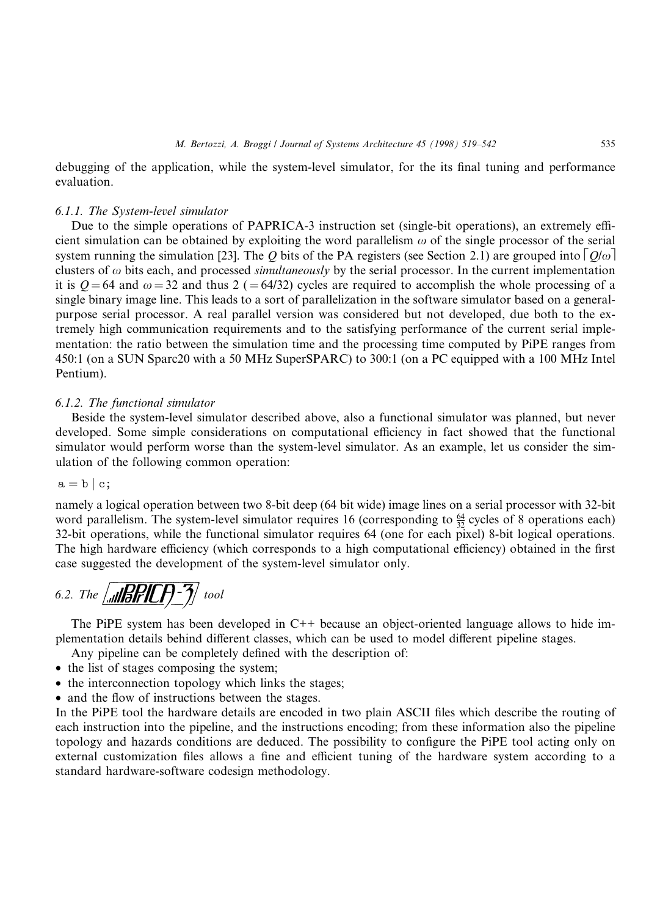debugging of the application, while the system-level simulator, for the its final tuning and performance evaluation.

# 6.1.1. The System-level simulator

Due to the simple operations of PAPRICA-3 instruction set (single-bit operations), an extremely efficient simulation can be obtained by exploiting the word parallelism  $\omega$  of the single processor of the serial system running the simulation [23]. The Q bits of the PA registers (see Section 2.1) are grouped into  $|Q/\omega|$ clusters of  $\omega$  bits each, and processed *simultaneously* by the serial processor. In the current implementation it is  $Q = 64$  and  $\omega = 32$  and thus 2 ( = 64/32) cycles are required to accomplish the whole processing of a single binary image line. This leads to a sort of parallelization in the software simulator based on a generalpurpose serial processor. A real parallel version was considered but not developed, due both to the extremely high communication requirements and to the satisfying performance of the current serial implementation: the ratio between the simulation time and the processing time computed by PiPE ranges from 450:1 (on a SUN Sparc20 with a 50 MHz SuperSPARC) to 300:1 (on a PC equipped with a 100 MHz Intel Pentium).

#### 6.1.2. The functional simulator

Beside the system-level simulator described above, also a functional simulator was planned, but never developed. Some simple considerations on computational efficiency in fact showed that the functional simulator would perform worse than the system-level simulator. As an example, let us consider the simulation of the following common operation:

 $a = b \mid c$ ;

namely a logical operation between two 8-bit deep (64 bit wide) image lines on a serial processor with 32-bit word parallelism. The system-level simulator requires 16 (corresponding to  $\frac{64}{32}$  cycles of 8 operations each) 32-bit operations, while the functional simulator requires 64 (one for each pixel) 8-bit logical operations. The high hardware efficiency (which corresponds to a high computational efficiency) obtained in the first case suggested the development of the system-level simulator only.

6.2. The tool

The PiPE system has been developed in C++ because an object-oriented language allows to hide implementation details behind different classes, which can be used to model different pipeline stages.

Any pipeline can be completely defined with the description of:

- the list of stages composing the system:
- the interconnection topology which links the stages;
- and the flow of instructions between the stages.

In the PiPE tool the hardware details are encoded in two plain ASCII files which describe the routing of each instruction into the pipeline, and the instructions encoding; from these information also the pipeline topology and hazards conditions are deduced. The possibility to configure the PiPE tool acting only on external customization files allows a fine and efficient tuning of the hardware system according to a standard hardware-software codesign methodology.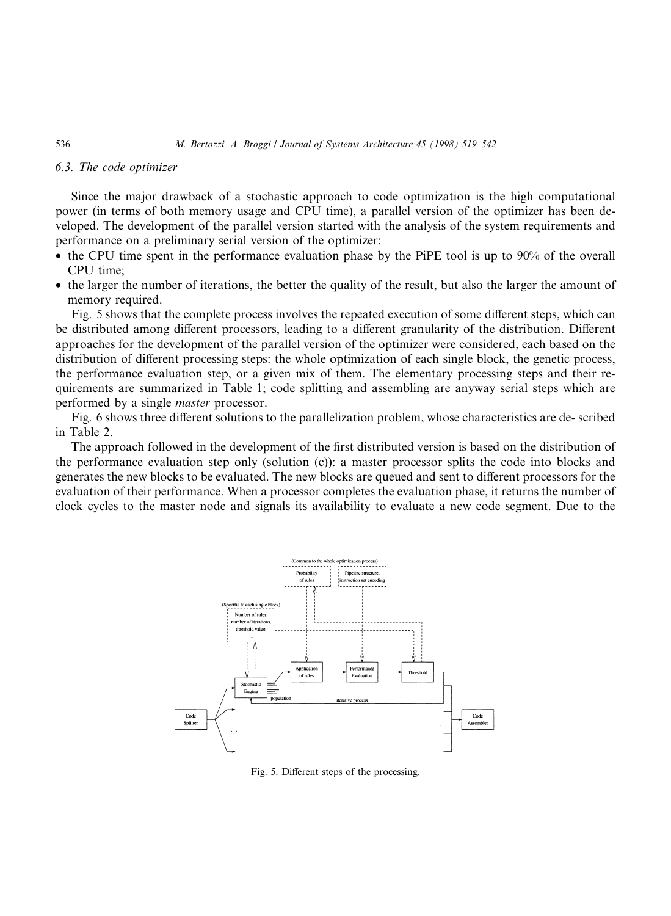#### 6.3. The code optimizer

Since the major drawback of a stochastic approach to code optimization is the high computational power (in terms of both memory usage and CPU time), a parallel version of the optimizer has been developed. The development of the parallel version started with the analysis of the system requirements and performance on a preliminary serial version of the optimizer:

- · the CPU time spent in the performance evaluation phase by the PiPE tool is up to 90% of the overall CPU time;
- · the larger the number of iterations, the better the quality of the result, but also the larger the amount of memory required.

Fig. 5 shows that the complete process involves the repeated execution of some different steps, which can be distributed among different processors, leading to a different granularity of the distribution. Different approaches for the development of the parallel version of the optimizer were considered, each based on the distribution of different processing steps: the whole optimization of each single block, the genetic process, the performance evaluation step, or a given mix of them. The elementary processing steps and their requirements are summarized in Table 1; code splitting and assembling are anyway serial steps which are performed by a single master processor.

Fig. 6 shows three different solutions to the parallelization problem, whose characteristics are de-scribed in Table 2.

The approach followed in the development of the first distributed version is based on the distribution of the performance evaluation step only (solution (c)): a master processor splits the code into blocks and generates the new blocks to be evaluated. The new blocks are queued and sent to dierent processors for the evaluation of their performance. When a processor completes the evaluation phase, it returns the number of clock cycles to the master node and signals its availability to evaluate a new code segment. Due to the



Fig. 5. Different steps of the processing.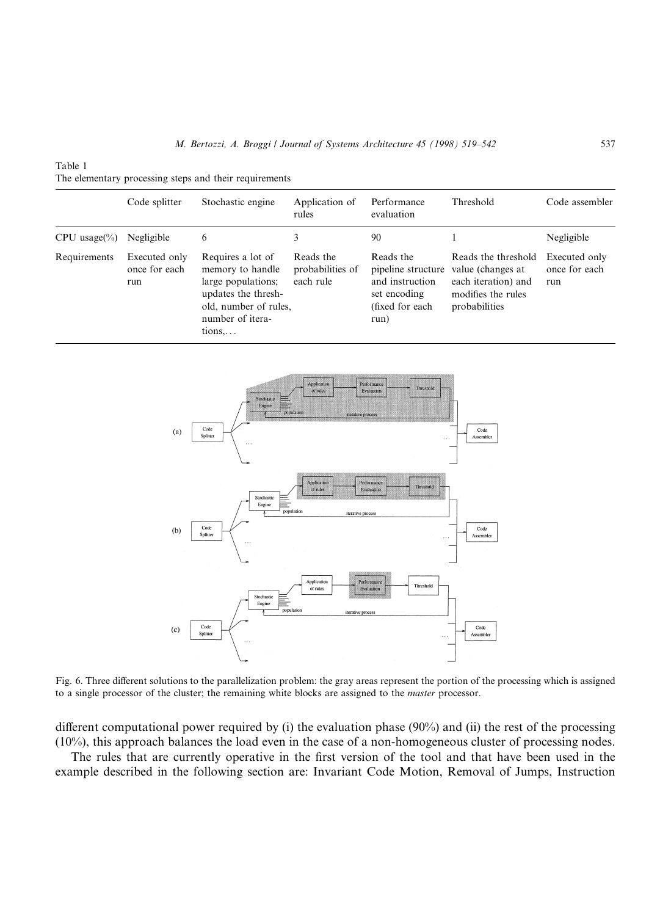Table 1

The elementary processing steps and their requirements

|                   | Code splitter                         | Stochastic engine                                                                                                                        | Application of<br>rules                    | Performance<br>evaluation                                                                      | Threshold                                                                                              | Code assembler                        |
|-------------------|---------------------------------------|------------------------------------------------------------------------------------------------------------------------------------------|--------------------------------------------|------------------------------------------------------------------------------------------------|--------------------------------------------------------------------------------------------------------|---------------------------------------|
| CPU usage $(\% )$ | Negligible                            | 6                                                                                                                                        | 3                                          | 90                                                                                             |                                                                                                        | Negligible                            |
| Requirements      | Executed only<br>once for each<br>run | Requires a lot of<br>memory to handle<br>large populations;<br>updates the thresh-<br>old, number of rules,<br>number of itera-<br>tions | Reads the<br>probabilities of<br>each rule | Reads the<br>pipeline structure<br>and instruction<br>set encoding<br>(fixed for each)<br>run) | Reads the threshold<br>value (changes at<br>each iteration) and<br>modifies the rules<br>probabilities | Executed only<br>once for each<br>run |



Fig. 6. Three different solutions to the parallelization problem: the gray areas represent the portion of the processing which is assigned to a single processor of the cluster; the remaining white blocks are assigned to the master processor.

different computational power required by (i) the evaluation phase  $(90\%)$  and (ii) the rest of the processing (10%), this approach balances the load even in the case of a non-homogeneous cluster of processing nodes.

The rules that are currently operative in the first version of the tool and that have been used in the example described in the following section are: Invariant Code Motion, Removal of Jumps, Instruction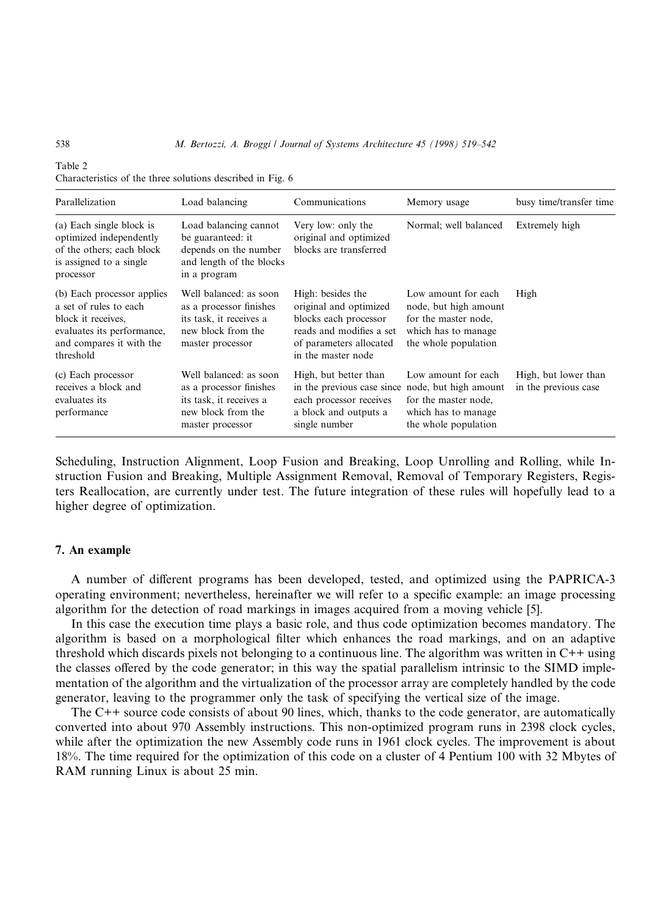Table 2 Characteristics of the three solutions described in Fig. 6

| Parallelization                                                                                                                                   | Load balancing                                                                                                         | Communications                                                                                                                                    | Memory usage                                                                                                         | busy time/transfer time                      |
|---------------------------------------------------------------------------------------------------------------------------------------------------|------------------------------------------------------------------------------------------------------------------------|---------------------------------------------------------------------------------------------------------------------------------------------------|----------------------------------------------------------------------------------------------------------------------|----------------------------------------------|
| (a) Each single block is<br>optimized independently<br>of the others; each block<br>is assigned to a single<br>processor                          | Load balancing cannot<br>be guaranteed: it<br>depends on the number<br>and length of the blocks<br>in a program        | Very low: only the<br>original and optimized<br>blocks are transferred                                                                            | Normal; well balanced                                                                                                | Extremely high                               |
| (b) Each processor applies<br>a set of rules to each<br>block it receives,<br>evaluates its performance,<br>and compares it with the<br>threshold | Well balanced: as soon<br>as a processor finishes<br>its task, it receives a<br>new block from the<br>master processor | High: besides the<br>original and optimized<br>blocks each processor<br>reads and modifies a set<br>of parameters allocated<br>in the master node | Low amount for each<br>node, but high amount<br>for the master node,<br>which has to manage.<br>the whole population | High                                         |
| (c) Each processor<br>receives a block and<br>evaluates its<br>performance                                                                        | Well balanced: as soon<br>as a processor finishes<br>its task, it receives a<br>new block from the<br>master processor | High, but better than<br>in the previous case since node, but high amount<br>each processor receives<br>a block and outputs a<br>single number    | Low amount for each<br>for the master node,<br>which has to manage.<br>the whole population                          | High, but lower than<br>in the previous case |

Scheduling, Instruction Alignment, Loop Fusion and Breaking, Loop Unrolling and Rolling, while Instruction Fusion and Breaking, Multiple Assignment Removal, Removal of Temporary Registers, Registers Reallocation, are currently under test. The future integration of these rules will hopefully lead to a higher degree of optimization.

# 7. An example

A number of different programs has been developed, tested, and optimized using the PAPRICA-3 operating environment; nevertheless, hereinafter we will refer to a specific example: an image processing algorithm for the detection of road markings in images acquired from a moving vehicle [5].

In this case the execution time plays a basic role, and thus code optimization becomes mandatory. The algorithm is based on a morphological filter which enhances the road markings, and on an adaptive threshold which discards pixels not belonging to a continuous line. The algorithm was written in  $C++$  using the classes offered by the code generator; in this way the spatial parallelism intrinsic to the SIMD implementation of the algorithm and the virtualization of the processor array are completely handled by the code generator, leaving to the programmer only the task of specifying the vertical size of the image.

The C++ source code consists of about 90 lines, which, thanks to the code generator, are automatically converted into about 970 Assembly instructions. This non-optimized program runs in 2398 clock cycles, while after the optimization the new Assembly code runs in 1961 clock cycles. The improvement is about 18%. The time required for the optimization of this code on a cluster of 4 Pentium 100 with 32 Mbytes of RAM running Linux is about 25 min.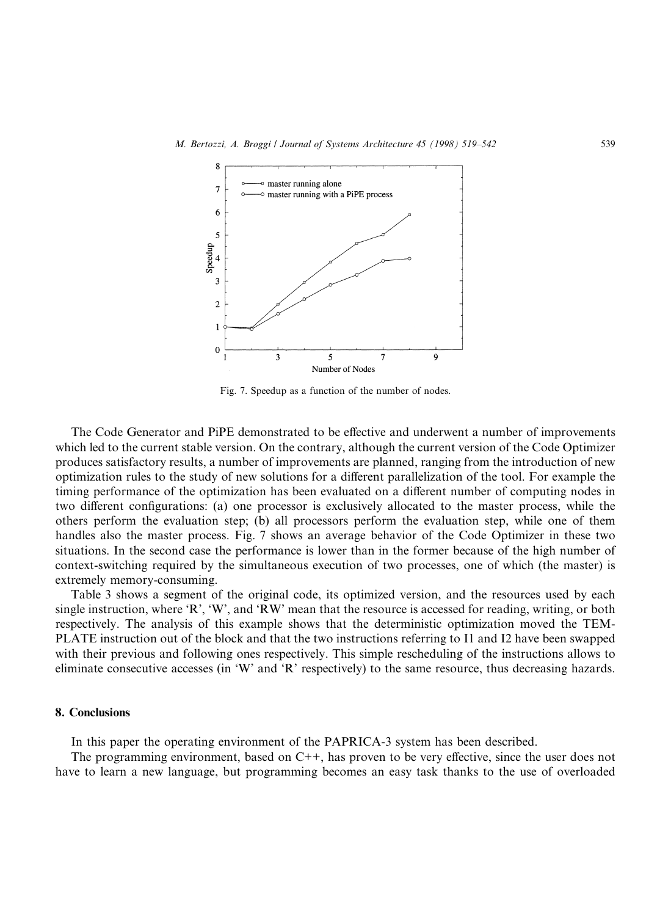

Fig. 7. Speedup as a function of the number of nodes.

The Code Generator and PiPE demonstrated to be effective and underwent a number of improvements which led to the current stable version. On the contrary, although the current version of the Code Optimizer produces satisfactory results, a number of improvements are planned, ranging from the introduction of new optimization rules to the study of new solutions for a different parallelization of the tool. For example the timing performance of the optimization has been evaluated on a different number of computing nodes in two different configurations: (a) one processor is exclusively allocated to the master process, while the others perform the evaluation step; (b) all processors perform the evaluation step, while one of them handles also the master process. Fig. 7 shows an average behavior of the Code Optimizer in these two situations. In the second case the performance is lower than in the former because of the high number of context-switching required by the simultaneous execution of two processes, one of which (the master) is extremely memory-consuming.

Table 3 shows a segment of the original code, its optimized version, and the resources used by each single instruction, where 'R', 'W', and 'RW' mean that the resource is accessed for reading, writing, or both respectively. The analysis of this example shows that the deterministic optimization moved the TEM-PLATE instruction out of the block and that the two instructions referring to I1 and I2 have been swapped with their previous and following ones respectively. This simple rescheduling of the instructions allows to eliminate consecutive accesses (in 'W' and 'R' respectively) to the same resource, thus decreasing hazards.

# 8. Conclusions

In this paper the operating environment of the PAPRICA-3 system has been described.

The programming environment, based on  $C_{++}$ , has proven to be very effective, since the user does not have to learn a new language, but programming becomes an easy task thanks to the use of overloaded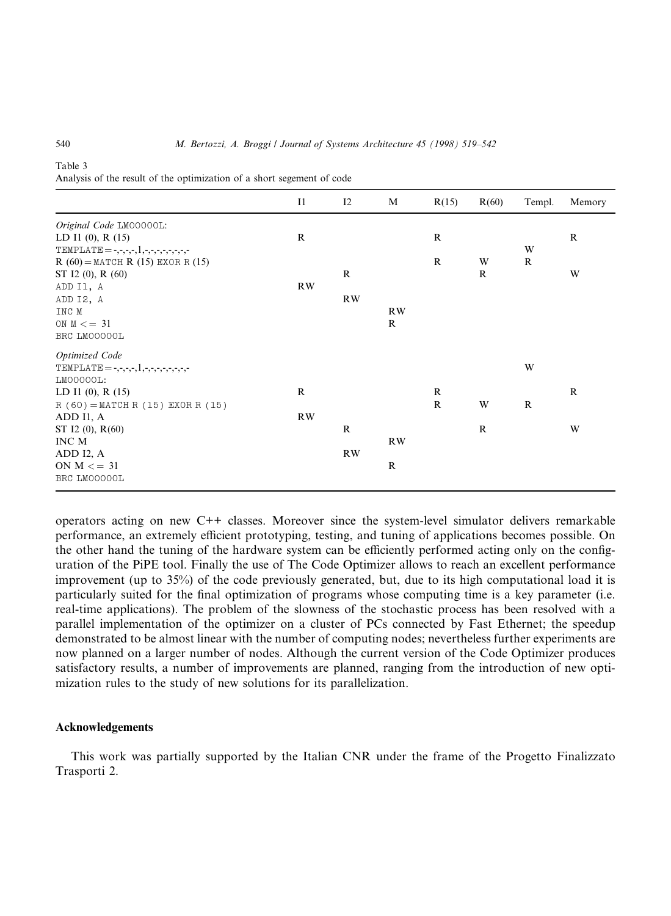Table 3

Analysis of the result of the optimization of a short segement of code

|                                        | I1           | 12           | M            | R(15)        | R(60)        | Templ.       | Memory       |
|----------------------------------------|--------------|--------------|--------------|--------------|--------------|--------------|--------------|
| Original Code LM00000L:                |              |              |              |              |              |              |              |
| LD I1 (0), R $(15)$                    | $\mathbf R$  |              |              | $\mathbb{R}$ |              |              | $\mathbb{R}$ |
| TEMPLATE = -,-,-,-,1,-,-,-,-,-,-,-,-,- |              |              |              |              |              | W            |              |
| $R(60) = MATCH R(15) EXOR R(15)$       |              |              |              | $\mathbb{R}$ | W            | R            |              |
| ST I2 (0), R (60)                      |              | $\mathbb{R}$ |              |              | R            |              | W            |
| ADD I1, A                              | RW           |              |              |              |              |              |              |
| ADD I2, A                              |              | <b>RW</b>    |              |              |              |              |              |
| INC M                                  |              |              | RW           |              |              |              |              |
| ON $M \leq 31$                         |              |              | $\mathbb{R}$ |              |              |              |              |
| BRC LM00000L                           |              |              |              |              |              |              |              |
| <b>Optimized Code</b>                  |              |              |              |              |              |              |              |
| TEMPLATE = -,-,-,-,1,-,-,-,-,-,-,-,-,- |              |              |              |              |              | W            |              |
| LM00000L:                              |              |              |              |              |              |              |              |
| LD I1 (0), R $(15)$                    | $\mathbb{R}$ |              |              | R            |              |              | R            |
| $R(60) = MATCH R(15) EXOR R(15)$       |              |              |              | $\mathbb{R}$ | W            | $\mathbb{R}$ |              |
| ADD II, A                              | RW           |              |              |              |              |              |              |
| ST I2 (0), R(60)                       |              | $\mathbb{R}$ |              |              | $\mathbb{R}$ |              | W            |
| INC M                                  |              |              | RW           |              |              |              |              |
| ADD I2, A                              |              | RW           |              |              |              |              |              |
| ON $M \leq 31$                         |              |              | $\mathbb{R}$ |              |              |              |              |
| BRC LM00000L                           |              |              |              |              |              |              |              |

operators acting on new C++ classes. Moreover since the system-level simulator delivers remarkable performance, an extremely efficient prototyping, testing, and tuning of applications becomes possible. On the other hand the tuning of the hardware system can be efficiently performed acting only on the configuration of the PiPE tool. Finally the use of The Code Optimizer allows to reach an excellent performance improvement (up to 35%) of the code previously generated, but, due to its high computational load it is particularly suited for the final optimization of programs whose computing time is a key parameter (i.e. real-time applications). The problem of the slowness of the stochastic process has been resolved with a parallel implementation of the optimizer on a cluster of PCs connected by Fast Ethernet; the speedup demonstrated to be almost linear with the number of computing nodes; nevertheless further experiments are now planned on a larger number of nodes. Although the current version of the Code Optimizer produces satisfactory results, a number of improvements are planned, ranging from the introduction of new optimization rules to the study of new solutions for its parallelization.

#### Acknowledgements

This work was partially supported by the Italian CNR under the frame of the Progetto Finalizzato Trasporti 2.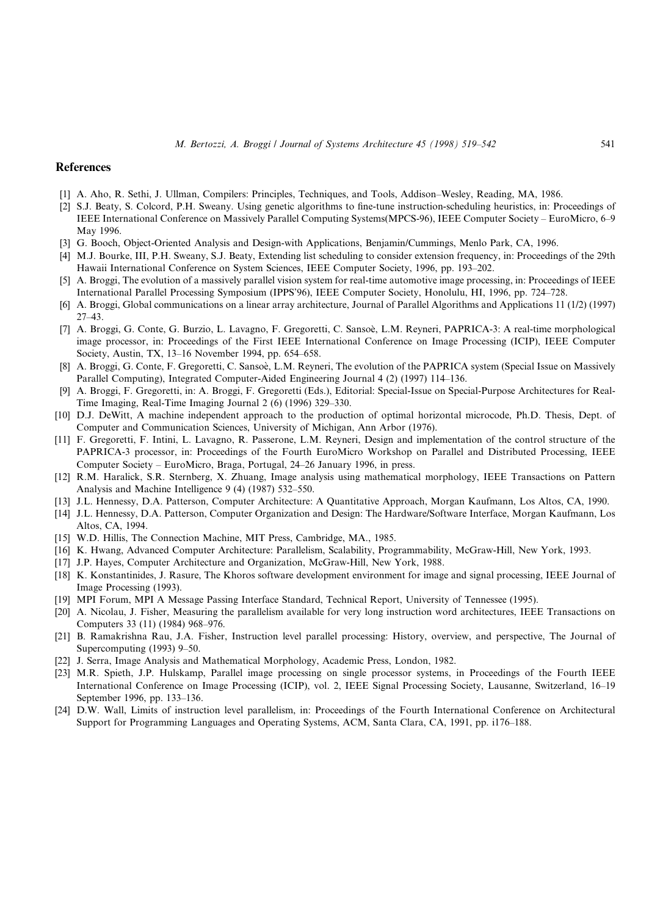#### References

- [1] A. Aho, R. Sethi, J. Ullman, Compilers: Principles, Techniques, and Tools, Addison±Wesley, Reading, MA, 1986.
- [2] S.J. Beaty, S. Colcord, P.H. Sweany. Using genetic algorithms to fine-tune instruction-scheduling heuristics, in: Proceedings of IEEE International Conference on Massively Parallel Computing Systems(MPCS-96), IEEE Computer Society – EuroMicro, 6–9 May 1996.
- [3] G. Booch, Object-Oriented Analysis and Design-with Applications, Benjamin/Cummings, Menlo Park, CA, 1996.
- [4] M.J. Bourke, III, P.H. Sweany, S.J. Beaty, Extending list scheduling to consider extension frequency, in: Proceedings of the 29th Hawaii International Conference on System Sciences, IEEE Computer Society, 1996, pp. 193-202.
- [5] A. Broggi, The evolution of a massively parallel vision system for real-time automotive image processing, in: Proceedings of IEEE International Parallel Processing Symposium (IPPS'96), IEEE Computer Society, Honolulu, HI, 1996, pp. 724-728.
- [6] A. Broggi, Global communications on a linear array architecture, Journal of Parallel Algorithms and Applications 11 (1/2) (1997)  $27 - 43$
- [7] A. Broggi, G. Conte, G. Burzio, L. Lavagno, F. Gregoretti, C. Sansoe, L.M. Reyneri, PAPRICA-3: A real-time morphological image processor, in: Proceedings of the First IEEE International Conference on Image Processing (ICIP), IEEE Computer Society, Austin, TX, 13-16 November 1994, pp. 654-658.
- [8] A. Broggi, G. Conte, F. Gregoretti, C. Sansoè, L.M. Reyneri, The evolution of the PAPRICA system (Special Issue on Massively Parallel Computing), Integrated Computer-Aided Engineering Journal 4 (2) (1997) 114–136.
- [9] A. Broggi, F. Gregoretti, in: A. Broggi, F. Gregoretti (Eds.), Editorial: Special-Issue on Special-Purpose Architectures for Real-Time Imaging, Real-Time Imaging Journal  $2(6)(1996)$  329–330.
- [10] D.J. DeWitt, A machine independent approach to the production of optimal horizontal microcode, Ph.D. Thesis, Dept. of Computer and Communication Sciences, University of Michigan, Ann Arbor (1976).
- [11] F. Gregoretti, F. Intini, L. Lavagno, R. Passerone, L.M. Reyneri, Design and implementation of the control structure of the PAPRICA-3 processor, in: Proceedings of the Fourth EuroMicro Workshop on Parallel and Distributed Processing, IEEE Computer Society - EuroMicro, Braga, Portugal, 24-26 January 1996, in press.
- [12] R.M. Haralick, S.R. Sternberg, X. Zhuang, Image analysis using mathematical morphology, IEEE Transactions on Pattern Analysis and Machine Intelligence 9 (4) (1987) 532-550.
- [13] J.L. Hennessy, D.A. Patterson, Computer Architecture: A Quantitative Approach, Morgan Kaufmann, Los Altos, CA, 1990.
- [14] J.L. Hennessy, D.A. Patterson, Computer Organization and Design: The Hardware/Software Interface, Morgan Kaufmann, Los Altos, CA, 1994.
- [15] W.D. Hillis, The Connection Machine, MIT Press, Cambridge, MA., 1985.
- [16] K. Hwang, Advanced Computer Architecture: Parallelism, Scalability, Programmability, McGraw-Hill, New York, 1993.
- [17] J.P. Hayes, Computer Architecture and Organization, McGraw-Hill, New York, 1988.
- [18] K. Konstantinides, J. Rasure, The Khoros software development environment for image and signal processing, IEEE Journal of Image Processing (1993).
- [19] MPI Forum, MPI A Message Passing Interface Standard, Technical Report, University of Tennessee (1995).
- [20] A. Nicolau, J. Fisher, Measuring the parallelism available for very long instruction word architectures, IEEE Transactions on Computers 33 (11) (1984) 968–976.
- [21] B. Ramakrishna Rau, J.A. Fisher, Instruction level parallel processing: History, overview, and perspective, The Journal of Supercomputing  $(1993)$  9-50.
- [22] J. Serra, Image Analysis and Mathematical Morphology, Academic Press, London, 1982.
- [23] M.R. Spieth, J.P. Hulskamp, Parallel image processing on single processor systems, in Proceedings of the Fourth IEEE International Conference on Image Processing (ICIP), vol. 2, IEEE Signal Processing Society, Lausanne, Switzerland, 16-19 September 1996, pp. 133-136.
- [24] D.W. Wall, Limits of instruction level parallelism, in: Proceedings of the Fourth International Conference on Architectural Support for Programming Languages and Operating Systems, ACM, Santa Clara, CA, 1991, pp. i176-188.